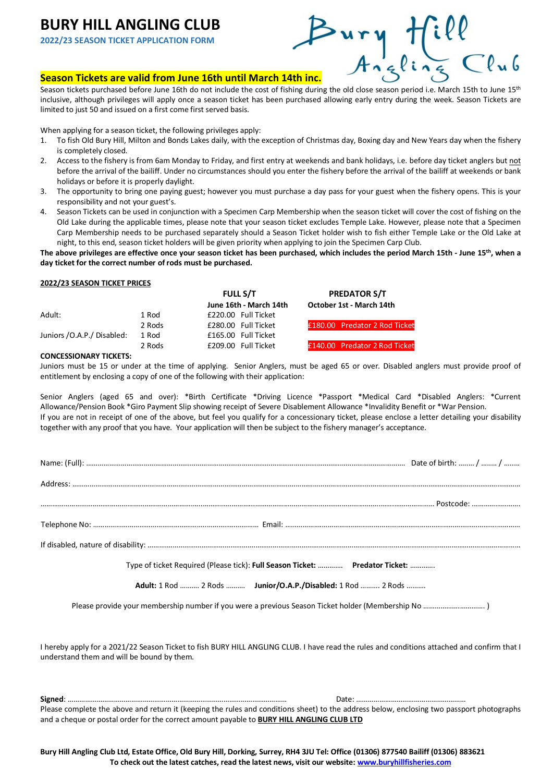# **BURY HILL ANGLING CLUB**

**2022/23 SEASON TICKET APPLICATION FORM**

# **SURY HILL ANGLING CLUB**<br> **Season Tickets are valid from June 16th until March 14th inc.**<br> **Season Tickets are valid from June 16th until March 14th inc.**<br>
Angling Club

Season tickets purchased before June 16th do not include the cost of fishing during the old close season period i.e. March 15th to June 15<sup>th</sup> inclusive, although privileges will apply once a season ticket has been purchased allowing early entry during the week. Season Tickets are limited to just 50 and issued on a first come first served basis.

When applying for a season ticket, the following privileges apply:

- 1. To fish Old Bury Hill, Milton and Bonds Lakes daily, with the exception of Christmas day, Boxing day and New Years day when the fishery is completely closed.
- 2. Access to the fishery is from 6am Monday to Friday, and first entry at weekends and bank holidays, i.e. before day ticket anglers but not before the arrival of the bailiff. Under no circumstances should you enter the fishery before the arrival of the bailiff at weekends or bank holidays or before it is properly daylight.
- 3. The opportunity to bring one paying guest; however you must purchase a day pass for your guest when the fishery opens. This is your responsibility and not your guest's.
- 4. Season Tickets can be used in conjunction with a Specimen Carp Membership when the season ticket will cover the cost of fishing on the Old Lake during the applicable times, please note that your season ticket excludes Temple Lake. However, please note that a Specimen Carp Membership needs to be purchased separately should a Season Ticket holder wish to fish either Temple Lake or the Old Lake at night, to this end, season ticket holders will be given priority when applying to join the Specimen Carp Club.

**The above privileges are effective once your season ticket has been purchased, which includes the period March 15th - June 15th, when a day ticket for the correct number of rods must be purchased.**

### **2022/23 SEASON TICKET PRICES**

|                            |        | <b>FULL S/T</b>        | <b>PREDATOR S/T</b>           |
|----------------------------|--------|------------------------|-------------------------------|
|                            |        | June 16th - March 14th | October 1st - March 14th      |
| Adult:                     | 1 Rod  | £220.00 Full Ticket    |                               |
|                            | 2 Rods | £280.00 Full Ticket    | £180.00 Predator 2 Rod Ticket |
| Juniors /O.A.P./ Disabled: | 1 Rod  | £165.00 Full Ticket    |                               |
|                            | 2 Rods | £209.00 Full Ticket    | £140.00 Predator 2 Rod Ticket |

### **CONCESSIONARY TICKETS:**

Juniors must be 15 or under at the time of applying. Senior Anglers, must be aged 65 or over. Disabled anglers must provide proof of entitlement by enclosing a copy of one of the following with their application:

Senior Anglers (aged 65 and over): \*Birth Certificate \*Driving Licence \*Passport \*Medical Card \*Disabled Anglers: \*Current Allowance/Pension Book \*Giro Payment Slip showing receipt of Severe Disablement Allowance \*Invalidity Benefit or \*War Pension. If you are not in receipt of one of the above, but feel you qualify for a concessionary ticket, please enclose a letter detailing your disability together with any proof that you have. Your application will then be subject to the fishery manager's acceptance.

| Type of ticket Required (Please tick): Full Season Ticket:  Predator Ticket: |  |  |  |
|------------------------------------------------------------------------------|--|--|--|
| Adult: 1 Rod  2 Rods  Junior/O.A.P./Disabled: 1 Rod  2 Rods                  |  |  |  |
|                                                                              |  |  |  |

I hereby apply for a 2021/22 Season Ticket to fish BURY HILL ANGLING CLUB. I have read the rules and conditions attached and confirm that I understand them and will be bound by them.

**Signed**: …………………………………………………………………………………………………… Date: ………………………………………………… Please complete the above and return it (keeping the rules and conditions sheet) to the address below, enclosing two passport photographs and a cheque or postal order for the correct amount payable to **BURY HILL ANGLING CLUB LTD**